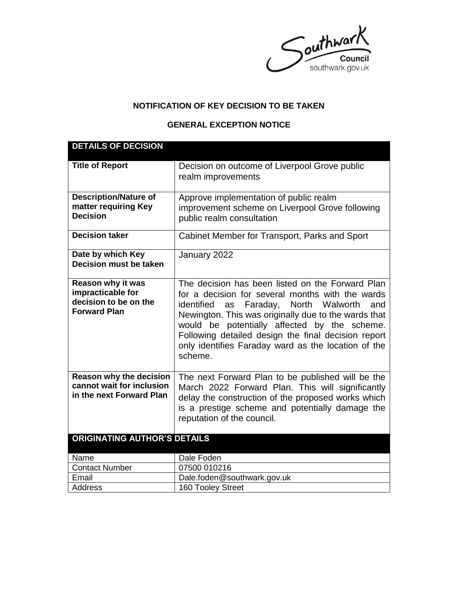Southwark

## **NOTIFICATION OF KEY DECISION TO BE TAKEN**

## **GENERAL EXCEPTION NOTICE**

| <b>DETAILS OF DECISION</b>                                                                    |                                                                                                                                                                                                                                                                                                                                                                                             |
|-----------------------------------------------------------------------------------------------|---------------------------------------------------------------------------------------------------------------------------------------------------------------------------------------------------------------------------------------------------------------------------------------------------------------------------------------------------------------------------------------------|
| <b>Title of Report</b>                                                                        | Decision on outcome of Liverpool Grove public<br>realm improvements                                                                                                                                                                                                                                                                                                                         |
| <b>Description/Nature of</b><br>matter requiring Key<br><b>Decision</b>                       | Approve implementation of public realm<br>improvement scheme on Liverpool Grove following<br>public realm consultation                                                                                                                                                                                                                                                                      |
| <b>Decision taker</b>                                                                         | Cabinet Member for Transport, Parks and Sport                                                                                                                                                                                                                                                                                                                                               |
| Date by which Key<br><b>Decision must be taken</b>                                            | January 2022                                                                                                                                                                                                                                                                                                                                                                                |
| <b>Reason why it was</b><br>impracticable for<br>decision to be on the<br><b>Forward Plan</b> | The decision has been listed on the Forward Plan<br>for a decision for several months with the wards<br>identified<br>Faraday, North Walworth<br>and<br>as<br>Newington. This was originally due to the wards that<br>would be potentially affected by the scheme.<br>Following detailed design the final decision report<br>only identifies Faraday ward as the location of the<br>scheme. |
| Reason why the decision<br>cannot wait for inclusion<br>in the next Forward Plan              | The next Forward Plan to be published will be the<br>March 2022 Forward Plan. This will significantly<br>delay the construction of the proposed works which<br>is a prestige scheme and potentially damage the<br>reputation of the council.                                                                                                                                                |
| <b>ORIGINATING AUTHOR'S DETAILS</b>                                                           |                                                                                                                                                                                                                                                                                                                                                                                             |
| Name                                                                                          | Dale Foden                                                                                                                                                                                                                                                                                                                                                                                  |
| <b>Contact Number</b>                                                                         | 07500 010216                                                                                                                                                                                                                                                                                                                                                                                |
| Email                                                                                         | Dale.foden@southwark.gov.uk                                                                                                                                                                                                                                                                                                                                                                 |
| <b>Address</b>                                                                                | 160 Tooley Street                                                                                                                                                                                                                                                                                                                                                                           |